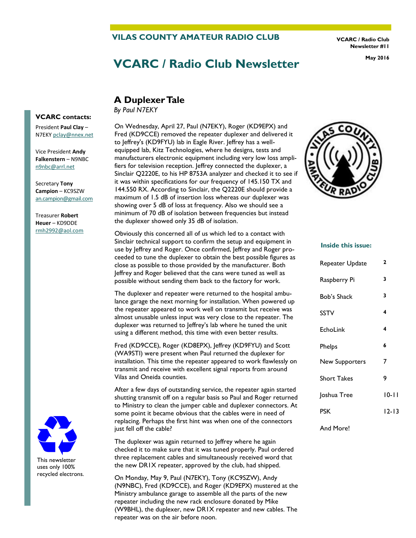#### **VILAS COUNTY AMATEUR RADIO CLUB**

**VCARC / Radio Club Newsletter #11** 

# **VCARC / Radio Club Newsletter May 2016**

### **A Duplexer Tale**

*By Paul N7EKY*

President **Paul Clay** – N7EKY [pclay@nnex.net](mailto:pclay@nnex.net) Vice President **Andy** 

**Falkenstern** – N9NBC [n9nbc@arrl.net](mailto:n9nbc@arrl.net)

**VCARC contacts:** 

Secretary **Tony Campion** – KC9SZW [an.campion@gmail.com](mailto:an.campion@gmail.com)

Treasurer **Robert Heuer** – KD9DDE rmh2992@aol.com



This newsletter uses only 100% recycled electrons. On Wednesday, April 27, Paul (N7EKY), Roger (KD9EPX) and Fred (KD9CCE) removed the repeater duplexer and delivered it to Jeffrey's (KD9FYU) lab in Eagle River. Jeffrey has a wellequipped lab, Kitz Technologies, where he designs, tests and manufacturers electronic equipment including very low loss amplifiers for television reception. Jeffrey connected the duplexer, a Sinclair Q2220E, to his HP 8753A analyzer and checked it to see if it was within specifications for our frequency of 145.150 TX and 144.550 RX. According to Sinclair, the Q2220E should provide a maximum of 1.5 dB of insertion loss whereas our duplexer was showing over 5 dB of loss at frequency. Also we should see a minimum of 70 dB of isolation between frequencies but instead the duplexer showed only 35 dB of isolation.

Obviously this concerned all of us which led to a contact with Sinclair technical support to confirm the setup and equipment in use by Jeffrey and Roger. Once confirmed, Jeffrey and Roger proceeded to tune the duplexer to obtain the best possible figures as close as possible to those provided by the manufacturer. Both Jeffrey and Roger believed that the cans were tuned as well as possible without sending them back to the factory for work.

The duplexer and repeater were returned to the hospital ambulance garage the next morning for installation. When powered up the repeater appeared to work well on transmit but receive was almost unusable unless input was very close to the repeater. The duplexer was returned to Jeffrey's lab where he tuned the unit using a different method, this time with even better results.

Fred (KD9CCE), Roger (KD8EPX), Jeffrey (KD9FYU) and Scott (WA9STI) were present when Paul returned the duplexer for installation. This time the repeater appeared to work flawlessly on transmit and receive with excellent signal reports from around Vilas and Oneida counties.

After a few days of outstanding service, the repeater again started shutting transmit off on a regular basis so Paul and Roger returned to Ministry to clean the jumper cable and duplexer connectors. At some point it became obvious that the cables were in need of replacing. Perhaps the first hint was when one of the connectors just fell off the cable?

The duplexer was again returned to Jeffrey where he again checked it to make sure that it was tuned properly. Paul ordered three replacement cables and simultaneously received word that the new DR1X repeater, approved by the club, had shipped.

On Monday, May 9, Paul (N7EKY), Tony (KC9SZW), Andy (N9NBC), Fred (KD9CCE), and Roger (KD9EPX) mustered at the Ministry ambulance garage to assemble all the parts of the new repeater including the new rack enclosure donated by Mike (W9BHL), the duplexer, new DR1X repeater and new cables. The repeater was on the air before noon.



#### **Inside this issue:**

| Repeater Update       | 2         |
|-----------------------|-----------|
| Raspberry Pi          | 3         |
| Bob's Shack           | 3         |
| <b>SSTV</b>           | 4         |
| EchoLink              | 4         |
| Phelps                | 6         |
| <b>New Supporters</b> | 7         |
| <b>Short Takes</b>    | 9         |
| Joshua Tree           | 10-11     |
| <b>PSK</b>            | $12 - 13$ |
|                       |           |

#### And More!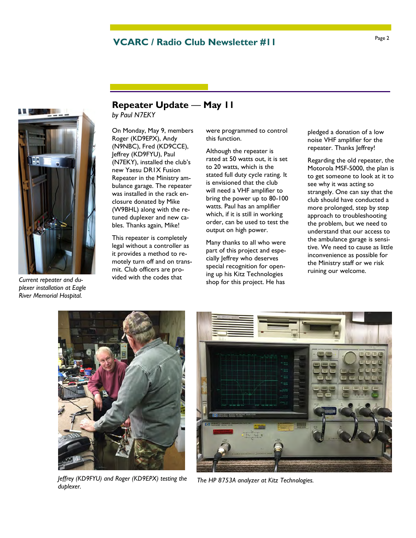## Page 2 **VCARC / Radio Club Newsletter #11**



*Current repeater and duplexer installation at Eagle River Memorial Hospital.* 

## **Repeater Update** — **May 11**

*by Paul N7EKY*

On Monday, May 9, members Roger (KD9EPX), Andy (N9NBC), Fred (KD9CCE), Jeffrey (KD9FYU), Paul (N7EKY), installed the club's new Yaesu DR1X Fusion Repeater in the Ministry ambulance garage. The repeater was installed in the rack enclosure donated by Mike (W9BHL) along with the retuned duplexer and new cables. Thanks again, Mike!

This repeater is completely legal without a controller as it provides a method to remotely turn off and on transmit. Club officers are provided with the codes that

were programmed to control this function.

Although the repeater is rated at 50 watts out, it is set to 20 watts, which is the stated full duty cycle rating. It is envisioned that the club will need a VHF amplifier to bring the power up to 80-100 watts. Paul has an amplifier which, if it is still in working order, can be used to test the output on high power.

Many thanks to all who were part of this project and especially Jeffrey who deserves special recognition for opening up his Kitz Technologies shop for this project. He has

pledged a donation of a low noise VHF amplifier for the repeater. Thanks Jeffrey!

Regarding the old repeater, the Motorola MSF-5000, the plan is to get someone to look at it to see why it was acting so strangely. One can say that the club should have conducted a more prolonged, step by step approach to troubleshooting the problem, but we need to understand that our access to the ambulance garage is sensitive. We need to cause as little inconvenience as possible for the Ministry staff or we risk ruining our welcome.



*Jeffrey (KD9FYU) and Roger (KD9EPX) testing the duplexer.* 



*The HP 8753A analyzer at Kitz Technologies.*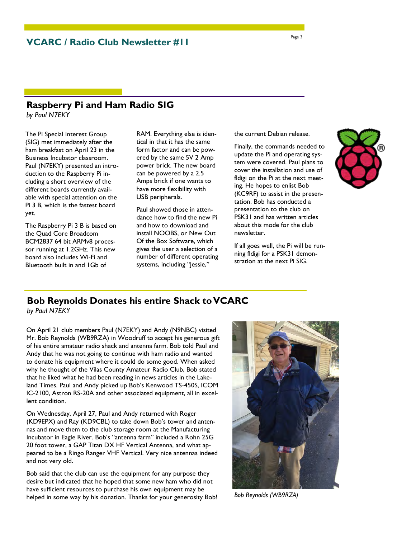### **Raspberry Pi and Ham Radio SIG**

*by Paul N7EKY*

The Pi Special Interest Group (SIG) met immediately after the ham breakfast on April 23 in the Business Incubator classroom. Paul (N7EKY) presented an introduction to the Raspberry Pi including a short overview of the different boards currently available with special attention on the Pi 3 B, which is the fastest board yet.

The Raspberry Pi 3 B is based on the Quad Core Broadcom BCM2837 64 bit ARMv8 processor running at 1.2GHz. This new board also includes Wi-Fi and Bluetooth built in and 1Gb of

RAM. Everything else is identical in that it has the same form factor and can be powered by the same 5V 2 Amp power brick. The new board can be powered by a 2.5 Amps brick if one wants to have more flexibility with USB peripherals.

Paul showed those in attendance how to find the new Pi and how to download and install NOOBS, or New Out Of the Box Software, which gives the user a selection of a number of different operating systems, including "Jessie,"

the current Debian release.

Finally, the commands needed to update the Pi and operating system were covered. Paul plans to cover the installation and use of fldigi on the Pi at the next meeting. He hopes to enlist Bob (KC9RF) to assist in the presentation. Bob has conducted a presentation to the club on PSK31 and has written articles about this mode for the club newsletter.

If all goes well, the Pi will be running fldigi for a PSK31 demonstration at the next Pi SIG.



## **Bob Reynolds Donates his entire Shack to VCARC**

*by Paul N7EKY*

On April 21 club members Paul (N7EKY) and Andy (N9NBC) visited Mr. Bob Reynolds (WB9RZA) in Woodruff to accept his generous gift of his entire amateur radio shack and antenna farm. Bob told Paul and Andy that he was not going to continue with ham radio and wanted to donate his equipment where it could do some good. When asked why he thought of the Vilas County Amateur Radio Club, Bob stated that he liked what he had been reading in news articles in the Lakeland Times. Paul and Andy picked up Bob's Kenwood TS-450S, ICOM IC-2100, Astron RS-20A and other associated equipment, all in excellent condition.

On Wednesday, April 27, Paul and Andy returned with Roger (KD9EPX) and Ray (KD9CBL) to take down Bob's tower and antennas and move them to the club storage room at the Manufacturing Incubator in Eagle River. Bob's "antenna farm" included a Rohn 25G 20 foot tower, a GAP Titan DX HF Vertical Antenna, and what appeared to be a Ringo Ranger VHF Vertical. Very nice antennas indeed and not very old.

Bob said that the club can use the equipment for any purpose they desire but indicated that he hoped that some new ham who did not have sufficient resources to purchase his own equipment may be helped in some way by his donation. Thanks for your generosity Bob!



*Bob Reynolds (WB9RZA)*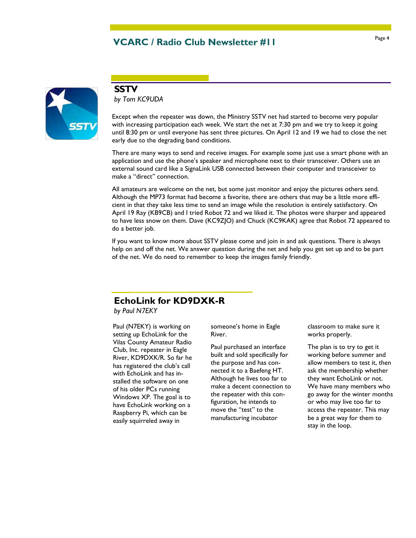## Page 4 **VCARC / Radio Club Newsletter #11**



#### **SSTV**

*by Tom KC9UDA* 

Except when the repeater was down, the Ministry SSTV net had started to become very popular with increasing participation each week. We start the net at 7:30 pm and we try to keep it going until 8:30 pm or until everyone has sent three pictures. On April 12 and 19 we had to close the net early due to the degrading band conditions.

There are many ways to send and receive images. For example some just use a smart phone with an application and use the phone's speaker and microphone next to their transceiver. Others use an external sound card like a SignaLink USB connected between their computer and transceiver to make a "direct" connection.

All amateurs are welcome on the net, but some just monitor and enjoy the pictures others send. Although the MP73 format had become a favorite, there are others that may be a little more efficient in that they take less time to send an image while the resolution is entirely satisfactory. On April 19 Ray (KB9CB) and I tried Robot 72 and we liked it. The photos were sharper and appeared to have less snow on them. Dave (KC9ZJO) and Chuck (KC9KAK) agree that Robot 72 appeared to do a better job.

If you want to know more about SSTV please come and join in and ask questions. There is always help on and off the net. We answer question during the net and help you get set up and to be part of the net. We do need to remember to keep the images family friendly.

### **EchoLink for KD9DXK-R**

*by Paul N7EKY*

Paul (N7EKY) is working on setting up EchoLink for the Vilas County Amateur Radio Club, Inc. repeater in Eagle River, KD9DXK/R. So far he has registered the club's call with EchoLink and has installed the software on one of his older PCs running Windows XP. The goal is to have EchoLink working on a Raspberry Pi, which can be easily squirreled away in

someone's home in Eagle River.

Paul purchased an interface built and sold specifically for the purpose and has connected it to a Baefeng HT. Although he lives too far to make a decent connection to the repeater with this configuration, he intends to move the "test" to the manufacturing incubator

classroom to make sure it works properly.

The plan is to try to get it working before summer and allow members to test it, then ask the membership whether they want EchoLink or not. We have many members who go away for the winter months or who may live too far to access the repeater. This may be a great way for them to stay in the loop.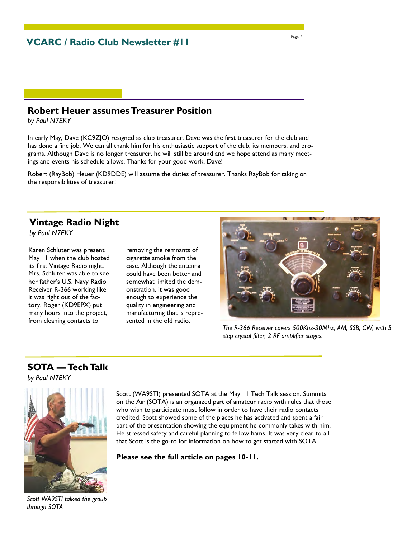### **Robert Heuer assumes Treasurer Position**

*by Paul N7EKY*

In early May, Dave (KC9ZJO) resigned as club treasurer. Dave was the first treasurer for the club and has done a fine job. We can all thank him for his enthusiastic support of the club, its members, and programs. Although Dave is no longer treasurer, he will still be around and we hope attend as many meetings and events his schedule allows. Thanks for your good work, Dave!

Robert (RayBob) Heuer (KD9DDE) will assume the duties of treasurer. Thanks RayBob for taking on the responsibilities of treasurer!

### **Vintage Radio Night**

*by Paul N7EKY*

Karen Schluter was present May 11 when the club hosted its first Vintage Radio night. Mrs. Schluter was able to see her father's U.S. Navy Radio Receiver R-366 working like it was right out of the factory. Roger (KD9EPX) put many hours into the project, from cleaning contacts to

removing the remnants of cigarette smoke from the case. Although the antenna could have been better and somewhat limited the demonstration, it was good enough to experience the quality in engineering and manufacturing that is represented in the old radio.



*The R-366 Receiver covers 500Khz-30Mhz, AM, SSB, CW, with 5 step crystal filter, 2 RF amplifier stages.* 

### **SOTA — Tech Talk**

*by Paul N7EKY*



Scott (WA9STI) presented SOTA at the May 11 Tech Talk session. Summits on the Air (SOTA) is an organized part of amateur radio with rules that those who wish to participate must follow in order to have their radio contacts credited. Scott showed some of the places he has activated and spent a fair part of the presentation showing the equipment he commonly takes with him. He stressed safety and careful planning to fellow hams. It was very clear to all that Scott is the go-to for information on how to get started with SOTA.

**Please see the full article on pages 10-11.** 

*Scott WA9STI talked the group through SOTA*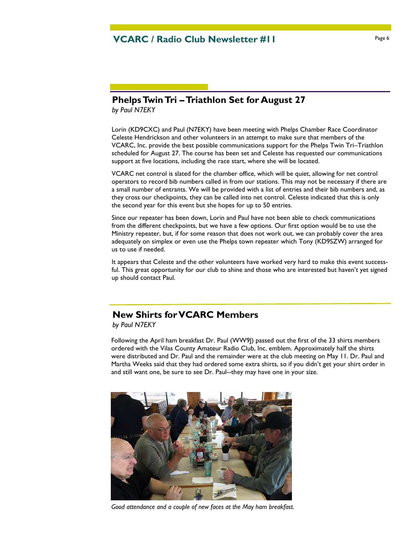### **Phelps Twin Tri – Triathlon Set for August 27**

*by Paul N7EKY*

Lorin (KD9CXC) and Paul (N7EKY) have been meeting with Phelps Chamber Race Coordinator Celeste Hendrickson and other volunteers in an attempt to make sure that members of the VCARC, Inc. provide the best possible communications support for the Phelps Twin Tri–Triathlon scheduled for August 27. The course has been set and Celeste has requested our communications support at five locations, including the race start, where she will be located.

VCARC net control is slated for the chamber office, which will be quiet, allowing for net control operators to record bib numbers called in from our stations. This may not be necessary if there are a small number of entrants. We will be provided with a list of entries and their bib numbers and, as they cross our checkpoints, they can be called into net control. Celeste indicated that this is only the second year for this event but she hopes for up to 50 entries.

Since our repeater has been down, Lorin and Paul have not been able to check communications from the different checkpoints, but we have a few options. Our first option would be to use the Ministry repeater, but, if for some reason that does not work out, we can probably cover the area adequately on simplex or even use the Phelps town repeater which Tony (KD9SZW) arranged for us to use if needed.

It appears that Celeste and the other volunteers have worked very hard to make this event successful. This great opportunity for our club to shine and those who are interested but haven't yet signed up should contact Paul.

### **New Shirts for VCARC Members**

*by Paul N7EKY*

Following the April ham breakfast Dr. Paul (WW9J) passed out the first of the 33 shirts members ordered with the Vilas County Amateur Radio Club, Inc. emblem. Approximately half the shirts were distributed and Dr. Paul and the remainder were at the club meeting on May 11. Dr. Paul and Martha Weeks said that they had ordered some extra shirts, so if you didn't get your shirt order in and still want one, be sure to see Dr. Paul--they may have one in your size.



*Good attendance and a couple of new faces at the May ham breakfast.*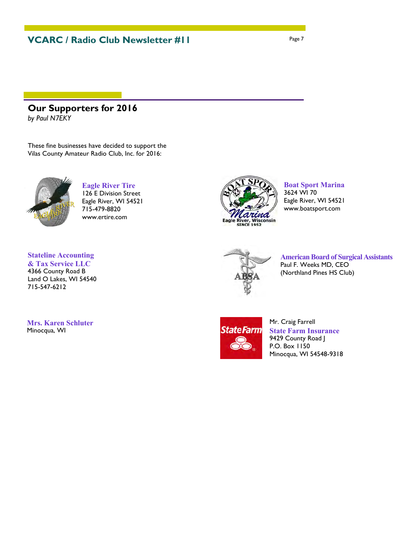### **Our Supporters for 2016**

*by Paul N7EKY*

These fine businesses have decided to support the Vilas County Amateur Radio Club, Inc. for 2016:



**Eagle River Tire**  126 E Division Street Eagle River, WI 54521 715-479-8820 www.ertire.com

### **Stateline Accounting**

**& Tax Service LLC** 4366 County Road B Land O Lakes, WI 54540 715-547-6212

**Mrs. Karen Schluter**  Minocqua, WI



**Boat Sport Marina**  3624 WI 70 Eagle River, WI 54521 www.boatsport.com



**American Board of Surgical Assistants**  Paul F. Weeks MD, CEO (Northland Pines HS Club)



Mr. Craig Farrell **State Farm Insurance**  9429 County Road J P.O. Box 1150 Minocqua, WI 54548-9318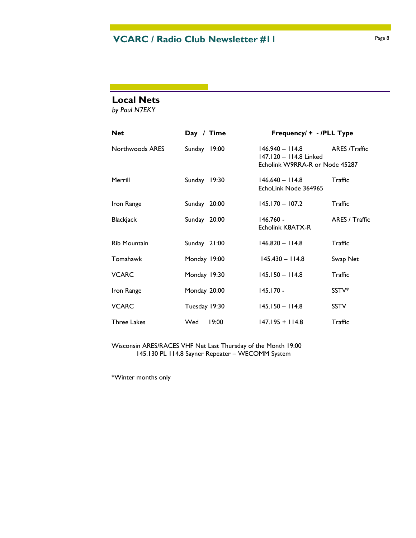### **Local Nets**

*by Paul N7EKY*

| <b>Net</b>          | Day / Time    |       | Frequency/ + - /PLL Type                                                      |                |
|---------------------|---------------|-------|-------------------------------------------------------------------------------|----------------|
| Northwoods ARES     | Sunday 19:00  |       | $146.940 - 114.8$<br>147.120 - 114.8 Linked<br>Echolink W9RRA-R or Node 45287 | ARES /Traffic  |
| Merrill             | Sunday 19:30  |       | $146.640 - 114.8$<br>EchoLink Node 364965                                     | Traffic        |
| Iron Range          | Sunday 20:00  |       | $145.170 - 107.2$                                                             | Traffic        |
| <b>Blackjack</b>    | Sunday 20:00  |       | $146.760 -$<br>Echolink K8ATX-R                                               | ARES / Traffic |
| <b>Rib Mountain</b> | Sunday 21:00  |       | $146.820 - 114.8$                                                             | Traffic        |
| Tomahawk            | Monday 19:00  |       | $145.430 - 114.8$                                                             | Swap Net       |
| <b>VCARC</b>        | Monday 19:30  |       | $145.150 - 114.8$                                                             | Traffic        |
| Iron Range          | Monday 20:00  |       | $145.170 -$                                                                   | SSTV*          |
| <b>VCARC</b>        | Tuesday 19:30 |       | $145.150 - 114.8$                                                             | <b>SSTV</b>    |
| <b>Three Lakes</b>  | Wed           | 19:00 | $147.195 + 114.8$                                                             | Traffic        |

Wisconsin ARES/RACES VHF Net Last Thursday of the Month 19:00 145.130 PL 114.8 Sayner Repeater – WECOMM System

\*Winter months only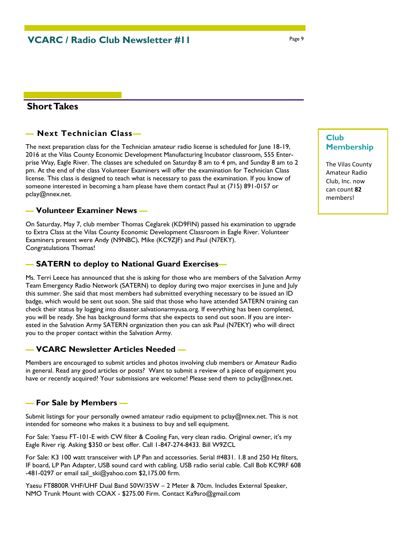### **Short Takes**

#### *—* **Next Technician Class***—*

The next preparation class for the Technician amateur radio license is scheduled for June 18-19, 2016 at the Vilas County Economic Development Manufacturing Incubator classroom, 555 Enterprise Way, Eagle River. The classes are scheduled on Saturday 8 am to 4 pm, and Sunday 8 am to 2 pm. At the end of the class Volunteer Examiners will offer the examination for Technician Class license. This class is designed to teach what is necessary to pass the examination. If you know of someone interested in becoming a ham please have them contact Paul at (715) 891-0157 or pclay@nnex.net.

#### **— Volunteer Examiner News —**

On Saturday, May 7, club member Thomas Ceglarek (KD9FIN) passed his examination to upgrade to Extra Class at the Vilas County Economic Development Classroom in Eagle River. Volunteer Examiners present were Andy (N9NBC), Mike (KC9ZJF) and Paul (N7EKY). Congratulations Thomas!

#### **— SATERN to deploy to National Guard Exercises—**

Ms. Terri Leece has announced that she is asking for those who are members of the Salvation Army Team Emergency Radio Network (SATERN) to deploy during two major exercises in June and July this summer. She said that most members had submitted everything necessary to be issued an ID badge, which would be sent out soon. She said that those who have attended SATERN training can check their status by logging into disaster.salvationarmyusa.org. If everything has been completed, you will be ready. She has background forms that she expects to send out soon. If you are interested in the Salvation Army SATERN organization then you can ask Paul (N7EKY) who will direct you to the proper contact within the Salvation Army.

### **— VCARC Newsletter Articles Needed —**

Members are encouraged to submit articles and photos involving club members or Amateur Radio in general. Read any good articles or posts? Want to submit a review of a piece of equipment you have or recently acquired? Your submissions are welcome! Please send them to pclay@nnex.net.

#### **— For Sale by Members —**

Submit listings for your personally owned amateur radio equipment to pclay@nnex.net. This is not intended for someone who makes it a business to buy and sell equipment.

For Sale: Yaesu FT-101-E with CW filter & Cooling Fan, very clean radio. Original owner, it's my Eagle River rig. Asking \$350 or best offer. Call 1-847-274-8433. Bill W9ZCL

For Sale: K3 100 watt transceiver with LP Pan and accessories. Serial #4831. 1.8 and 250 Hz filters, IF board, LP Pan Adapter, USB sound card with cabling. USB radio serial cable. Call Bob KC9RF 608 -481-0297 or email sail\_ski@yahoo.com \$2,175.00 firm.

Yaesu FT8800R VHF/UHF Dual Band 50W/35W – 2 Meter & 70cm. Includes External Speaker, NMO Trunk Mount with COAX - \$275.00 Firm. Contact Ka9sro@gmail.com

### **Club Membership**

The Vilas County Amateur Radio Club, Inc. now can count **82** members!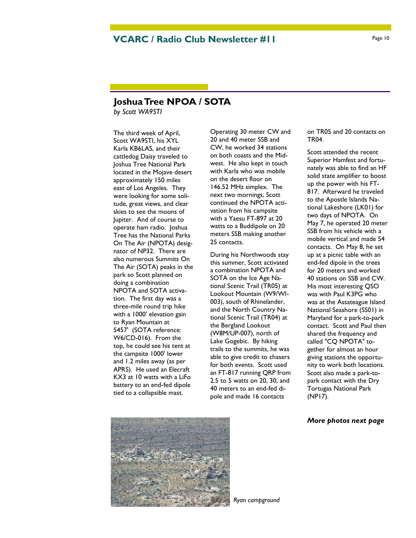### **Joshua Tree NPOA / SOTA**

*by Scott WA9STI*

The third week of April, Scott WA9STI, his XYL Karla KB6LAS, and their cattledog Daisy traveled to Joshua Tree National Park located in the Mojave desert approximately 150 miles east of Los Angeles. They were looking for some solitude, great views, and clear skies to see the moons of Jupiter. And of course to operate ham radio. Joshua Tree has the National Parks On The Air (NPOTA) designator of NP32. There are also numerous Summits On The Air (SOTA) peaks in the park so Scott planned on doing a combination NPOTA and SOTA activation. The first day was a three-mile round trip hike with a 1000' elevation gain to Ryan Mountain at 5457' (SOTA reference: W6/CD-016). From the top, he could see his tent at the campsite 1000' lower and 1.2 miles away (as per APRS). He used an Elecraft KX3 at 10 watts with a LiFo battery to an end-fed dipole tied to a collapsible mast.

Operating 30 meter CW and 20 and 40 meter SSB and CW, he worked 34 stations on both coasts and the Midwest. He also kept in touch with Karla who was mobile on the desert floor on 146.52 MHz simplex. The next two mornings, Scott continued the NPOTA activation from his campsite with a Yaesu FT-897 at 20 watts to a Buddipole on 20 meters SSB making another 25 contacts.

During his Northwoods stay this summer, Scott activated a combination NPOTA and SOTA on the Ice Age National Scenic Trail (TR05) at Lookout Mountain (W9/WI-003), south of Rhinelander, and the North Country National Scenic Trail (TR04) at the Bergland Lookout (W8M/UP-007), north of Lake Gogebic. By hiking trails to the summits, he was able to give credit to chasers for both events. Scott used an FT-817 running QRP from 2.5 to 5 watts on 20, 30, and 40 meters to an end-fed dipole and made 16 contacts

on TR05 and 20 contacts on TR04.

Scott attended the recent Superior Hamfest and fortunately was able to find an HF solid state amplifier to boost up the power with his FT-817. Afterward he traveled to the Apostle Islands National Lakeshore (LK01) for two days of NPOTA. On May 7, he operated 20 meter SSB from his vehicle with a mobile vertical and made 54 contacts. On May 8, he set up at a picnic table with an end-fed dipole in the trees for 20 meters and worked 40 stations on SSB and CW. His most interesting QSO was with Paul K3PG who was at the Assateague Island National Seashore (SS01) in Maryland for a park-to-park contact. Scott and Paul then shared the frequency and called "CQ NPOTA" together for almost an hour giving stations the opportunity to work both locations. Scott also made a park-topark contact with the Dry Tortugas National Park (NP17).

#### *More photos next page*



*Ryan campground*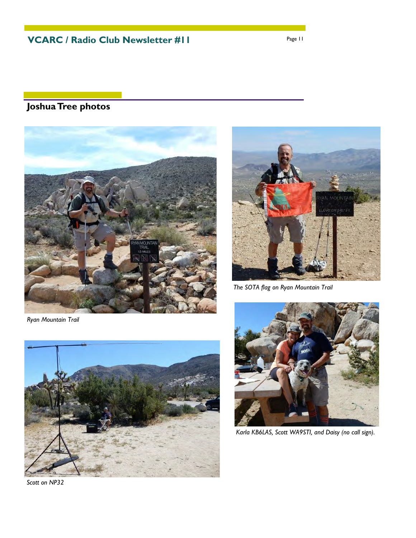## **Joshua Tree photos**





*The SOTA flag on Ryan Mountain Trail* 

*Ryan Mountain Trail* 



*Scott on NP32* 



*Karla KB6LAS, Scott WA9STI, and Daisy (no call sign).*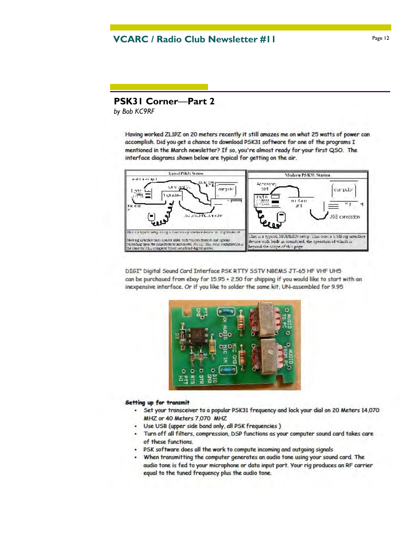### **PSK31 Corner**—**Part 2**

*by Bob KC9RF*

Having worked ZL1PZ on 20 meters recently it still amazes me on what 25 watts of power can accomplish. Did you get a chance to download PSK31 software for one of the programs I mentioned in the March newsletter? If so, you're almost ready for your first QSO. The interface diagrams shown below are typical for getting on the air.



DIGI" Digital Sound Card Interface PSK RTTY SSTV NBEMS JT-65 HF VHF UH5 can be purchased from ebay for 15.95 + 2.50 for shipping if you would like to start with an inexpensive interface. Or if you like to solder the same kit, UN-assembled for 9.95



#### Setting up for transmit

- . Set your transceiver to a popular PSK31 frequency and lock your dial on 20 Meters 14,070 MHZ or 40 Meters 7,070 MHZ
- Use USB (upper side band only, all PSK frequencies)
- . Turn off all filters, compression, DSP functions as your computer sound card takes care of these functions.
- PSK software does all the work to compute incoming and outgoing signals
- . When transmitting the computer generates an audio tone using your sound card. The audio tone is fed to your microphone or data input port. Your rig produces an RF carrier equal to the tuned frequency plus the audio tone.